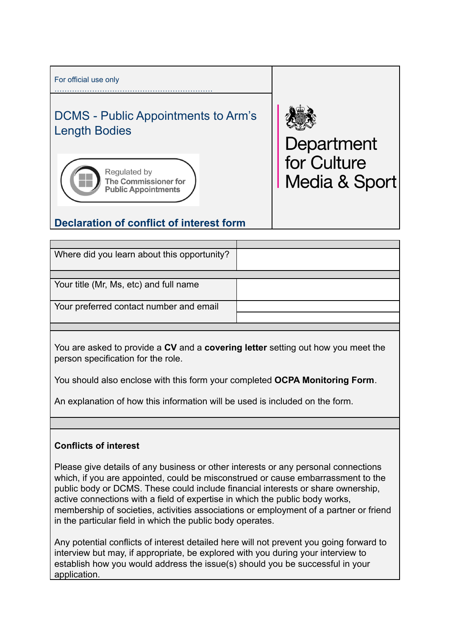

| Where did you learn about this opportunity? |  |
|---------------------------------------------|--|
|                                             |  |
| Your title (Mr, Ms, etc) and full name      |  |
| Your preferred contact number and email     |  |
|                                             |  |
|                                             |  |

You are asked to provide a **CV** and a **covering letter** setting out how you meet the person specification for the role.

You should also enclose with this form your completed **OCPA Monitoring Form**.

An explanation of how this information will be used is included on the form.

## **Conflicts of interest**

Please give details of any business or other interests or any personal connections which, if you are appointed, could be misconstrued or cause embarrassment to the public body or DCMS. These could include financial interests or share ownership, active connections with a field of expertise in which the public body works, membership of societies, activities associations or employment of a partner or friend in the particular field in which the public body operates.

Any potential conflicts of interest detailed here will not prevent you going forward to interview but may, if appropriate, be explored with you during your interview to establish how you would address the issue(s) should you be successful in your application.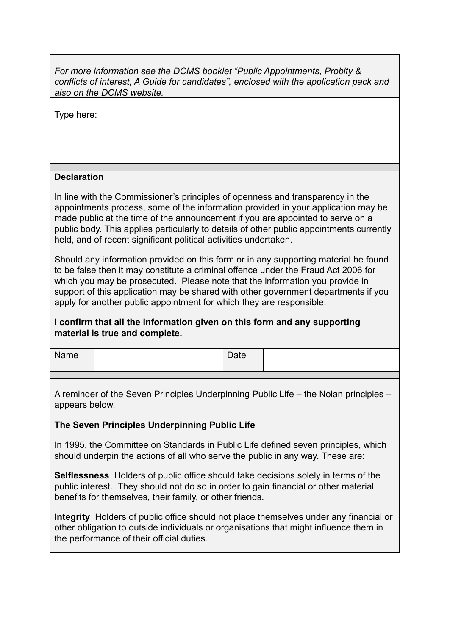*For more information see the DCMS booklet "Public Appointments, Probity & conflicts of interest, A Guide for candidates", enclosed with the application pack and also on the DCMS website.*

Type here:

## **Declaration**

In line with the Commissioner's principles of openness and transparency in the appointments process, some of the information provided in your application may be made public at the time of the announcement if you are appointed to serve on a public body. This applies particularly to details of other public appointments currently held, and of recent significant political activities undertaken.

Should any information provided on this form or in any supporting material be found to be false then it may constitute a criminal offence under the Fraud Act 2006 for which you may be prosecuted. Please note that the information you provide in support of this application may be shared with other government departments if you apply for another public appointment for which they are responsible.

## **I confirm that all the information given on this form and any supporting material is true and complete.**

| Name | Date |  |
|------|------|--|
|      |      |  |

A reminder of the Seven Principles Underpinning Public Life – the Nolan principles – appears below.

## **The Seven Principles Underpinning Public Life**

In 1995, the Committee on Standards in Public Life defined seven principles, which should underpin the actions of all who serve the public in any way. These are:

**Selflessness** Holders of public office should take decisions solely in terms of the public interest. They should not do so in order to gain financial or other material benefits for themselves, their family, or other friends.

**Integrity** Holders of public office should not place themselves under any financial or other obligation to outside individuals or organisations that might influence them in the performance of their official duties.